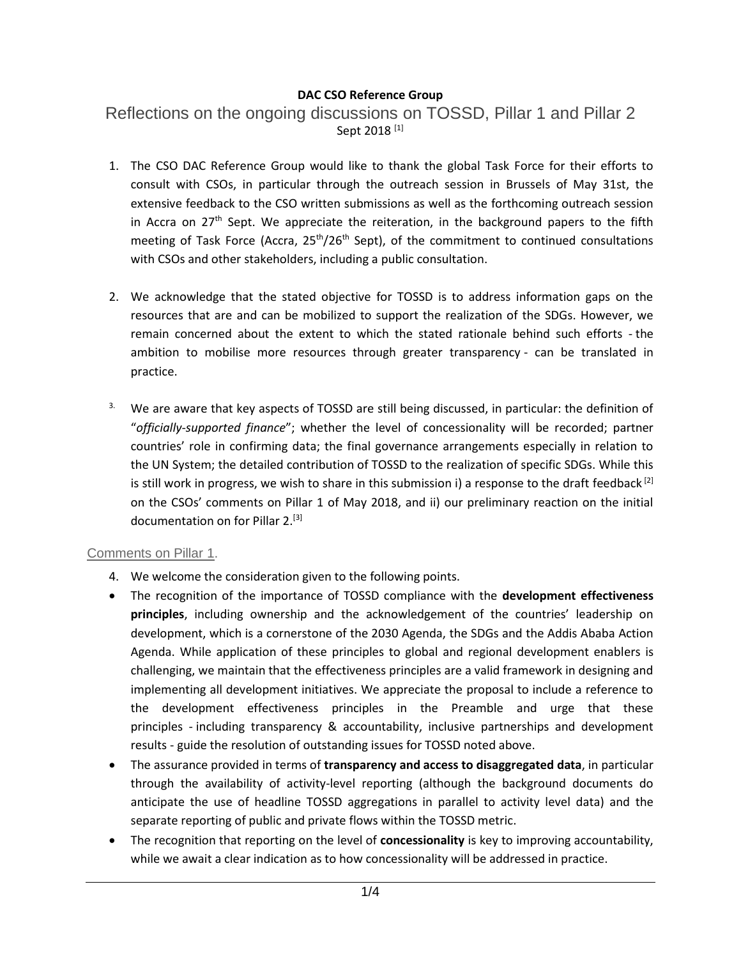## **DAC CSO Reference Group**

Reflections on the ongoing discussions on TOSSD, Pillar 1 and Pillar 2 Sept 2018<sup>[1]</sup>

- 1. The CSO DAC Reference Group would like to thank the global Task Force for their efforts to consult with CSOs, in particular through the outreach session in Brussels of May 31st, the extensive feedback to the CSO written submissions as well as the forthcoming outreach session in Accra on  $27<sup>th</sup>$  Sept. We appreciate the reiteration, in the background papers to the fifth meeting of Task Force (Accra,  $25<sup>th</sup>/26<sup>th</sup>$  Sept), of the commitment to continued consultations with CSOs and other stakeholders, including a public consultation.
- 2. We acknowledge that the stated objective for TOSSD is to address information gaps on the resources that are and can be mobilized to support the realization of the SDGs. However, we remain concerned about the extent to which the stated rationale behind such efforts - the ambition to mobilise more resources through greater transparency - can be translated in practice.
- <sup>3.</sup> We are aware that key aspects of TOSSD are still being discussed, in particular: the definition of "*officially-supported finance*"; whether the level of concessionality will be recorded; partner countries' role in confirming data; the final governance arrangements especially in relation to the UN System; the detailed contribution of TOSSD to the realization of specific SDGs. While this is still work in progress, we wish to share in this submission i) a response to the draft feedback  $^{[2]}$ on the CSOs' comments on Pillar 1 of May 2018, and ii) our preliminary reaction on the initial documentation on for Pillar 2.<sup>[3]</sup>

## Comments on Pillar 1.

- 4. We welcome the consideration given to the following points.
- The recognition of the importance of TOSSD compliance with the **development effectiveness principles**, including ownership and the acknowledgement of the countries' leadership on development, which is a cornerstone of the 2030 Agenda, the SDGs and the Addis Ababa Action Agenda. While application of these principles to global and regional development enablers is challenging, we maintain that the effectiveness principles are a valid framework in designing and implementing all development initiatives. We appreciate the proposal to include a reference to the development effectiveness principles in the Preamble and urge that these principles - including transparency & accountability, inclusive partnerships and development results - guide the resolution of outstanding issues for TOSSD noted above.
- The assurance provided in terms of **transparency and access to disaggregated data**, in particular through the availability of activity-level reporting (although the background documents do anticipate the use of headline TOSSD aggregations in parallel to activity level data) and the separate reporting of public and private flows within the TOSSD metric.
- The recognition that reporting on the level of **concessionality** is key to improving accountability, while we await a clear indication as to how concessionality will be addressed in practice.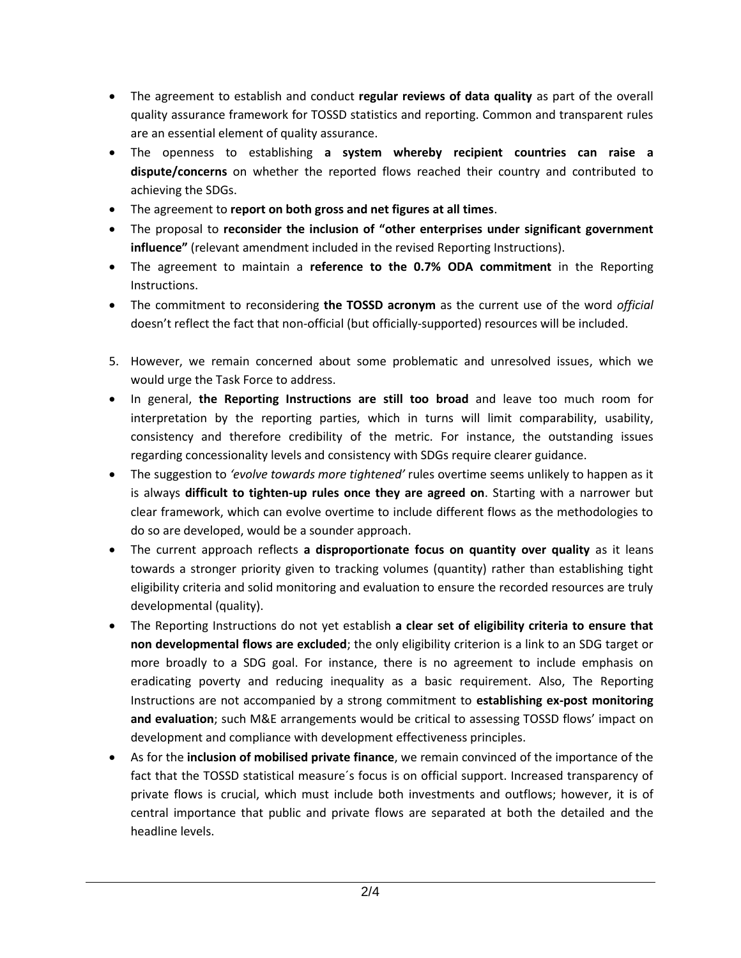- The agreement to establish and conduct **regular reviews of data quality** as part of the overall quality assurance framework for TOSSD statistics and reporting. Common and transparent rules are an essential element of quality assurance.
- The openness to establishing **a system whereby recipient countries can raise a dispute/concerns** on whether the reported flows reached their country and contributed to achieving the SDGs.
- The agreement to **report on both gross and net figures at all times**.
- The proposal to **reconsider the inclusion of "other enterprises under significant government influence"** (relevant amendment included in the revised Reporting Instructions).
- The agreement to maintain a **reference to the 0.7% ODA commitment** in the Reporting Instructions.
- The commitment to reconsidering **the TOSSD acronym** as the current use of the word *official* doesn't reflect the fact that non-official (but officially-supported) resources will be included.
- 5. However, we remain concerned about some problematic and unresolved issues, which we would urge the Task Force to address.
- In general, **the Reporting Instructions are still too broad** and leave too much room for interpretation by the reporting parties, which in turns will limit comparability, usability, consistency and therefore credibility of the metric. For instance, the outstanding issues regarding concessionality levels and consistency with SDGs require clearer guidance.
- The suggestion to *'evolve towards more tightened'* rules overtime seems unlikely to happen as it is always **difficult to tighten-up rules once they are agreed on**. Starting with a narrower but clear framework, which can evolve overtime to include different flows as the methodologies to do so are developed, would be a sounder approach.
- The current approach reflects **a disproportionate focus on quantity over quality** as it leans towards a stronger priority given to tracking volumes (quantity) rather than establishing tight eligibility criteria and solid monitoring and evaluation to ensure the recorded resources are truly developmental (quality).
- The Reporting Instructions do not yet establish **a clear set of eligibility criteria to ensure that non developmental flows are excluded**; the only eligibility criterion is a link to an SDG target or more broadly to a SDG goal. For instance, there is no agreement to include emphasis on eradicating poverty and reducing inequality as a basic requirement. Also, The Reporting Instructions are not accompanied by a strong commitment to **establishing ex-post monitoring and evaluation**; such M&E arrangements would be critical to assessing TOSSD flows' impact on development and compliance with development effectiveness principles.
- As for the **inclusion of mobilised private finance**, we remain convinced of the importance of the fact that the TOSSD statistical measure´s focus is on official support. Increased transparency of private flows is crucial, which must include both investments and outflows; however, it is of central importance that public and private flows are separated at both the detailed and the headline levels.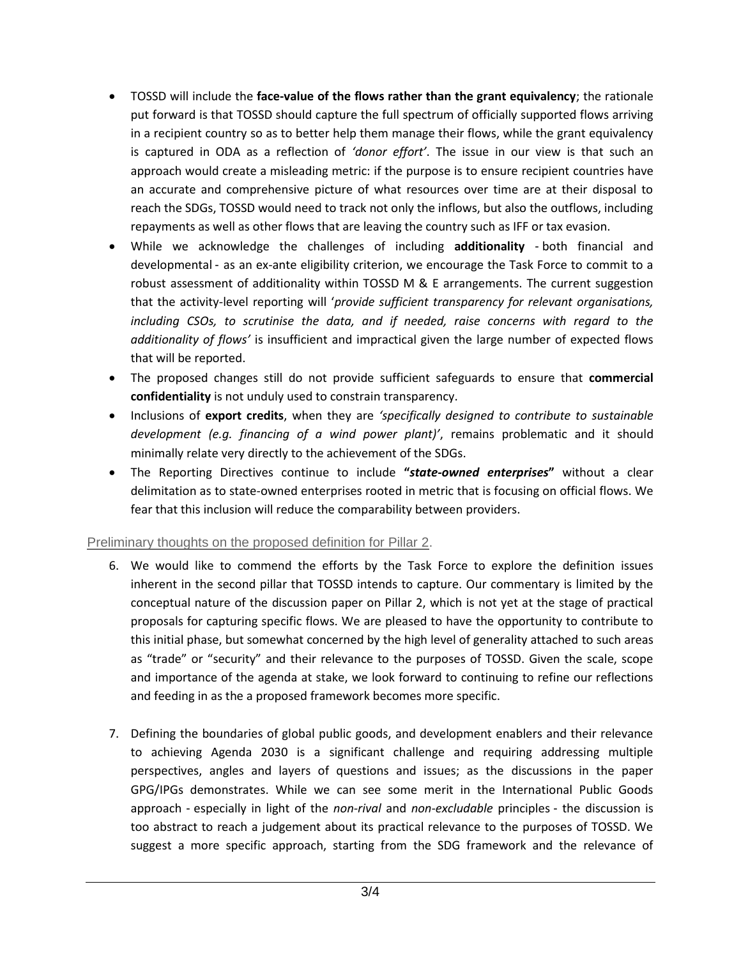- TOSSD will include the **face-value of the flows rather than the grant equivalency**; the rationale put forward is that TOSSD should capture the full spectrum of officially supported flows arriving in a recipient country so as to better help them manage their flows, while the grant equivalency is captured in ODA as a reflection of *'donor effort'*. The issue in our view is that such an approach would create a misleading metric: if the purpose is to ensure recipient countries have an accurate and comprehensive picture of what resources over time are at their disposal to reach the SDGs, TOSSD would need to track not only the inflows, but also the outflows, including repayments as well as other flows that are leaving the country such as IFF or tax evasion.
- While we acknowledge the challenges of including **additionality** both financial and developmental - as an ex-ante eligibility criterion, we encourage the Task Force to commit to a robust assessment of additionality within TOSSD M & E arrangements. The current suggestion that the activity-level reporting will '*provide sufficient transparency for relevant organisations, including CSOs, to scrutinise the data, and if needed, raise concerns with regard to the additionality of flows'* is insufficient and impractical given the large number of expected flows that will be reported.
- The proposed changes still do not provide sufficient safeguards to ensure that **commercial confidentiality** is not unduly used to constrain transparency.
- Inclusions of **export credits**, when they are *'specifically designed to contribute to sustainable development (e.g. financing of a wind power plant)'*, remains problematic and it should minimally relate very directly to the achievement of the SDGs.
- The Reporting Directives continue to include **"***state-owned enterprises***"** without a clear delimitation as to state-owned enterprises rooted in metric that is focusing on official flows. We fear that this inclusion will reduce the comparability between providers.

## Preliminary thoughts on the proposed definition for Pillar 2.

- 6. We would like to commend the efforts by the Task Force to explore the definition issues inherent in the second pillar that TOSSD intends to capture. Our commentary is limited by the conceptual nature of the discussion paper on Pillar 2, which is not yet at the stage of practical proposals for capturing specific flows. We are pleased to have the opportunity to contribute to this initial phase, but somewhat concerned by the high level of generality attached to such areas as "trade" or "security" and their relevance to the purposes of TOSSD. Given the scale, scope and importance of the agenda at stake, we look forward to continuing to refine our reflections and feeding in as the a proposed framework becomes more specific.
- 7. Defining the boundaries of global public goods, and development enablers and their relevance to achieving Agenda 2030 is a significant challenge and requiring addressing multiple perspectives, angles and layers of questions and issues; as the discussions in the paper GPG/IPGs demonstrates. While we can see some merit in the International Public Goods approach - especially in light of the *non-rival* and *non-excludable* principles - the discussion is too abstract to reach a judgement about its practical relevance to the purposes of TOSSD. We suggest a more specific approach, starting from the SDG framework and the relevance of